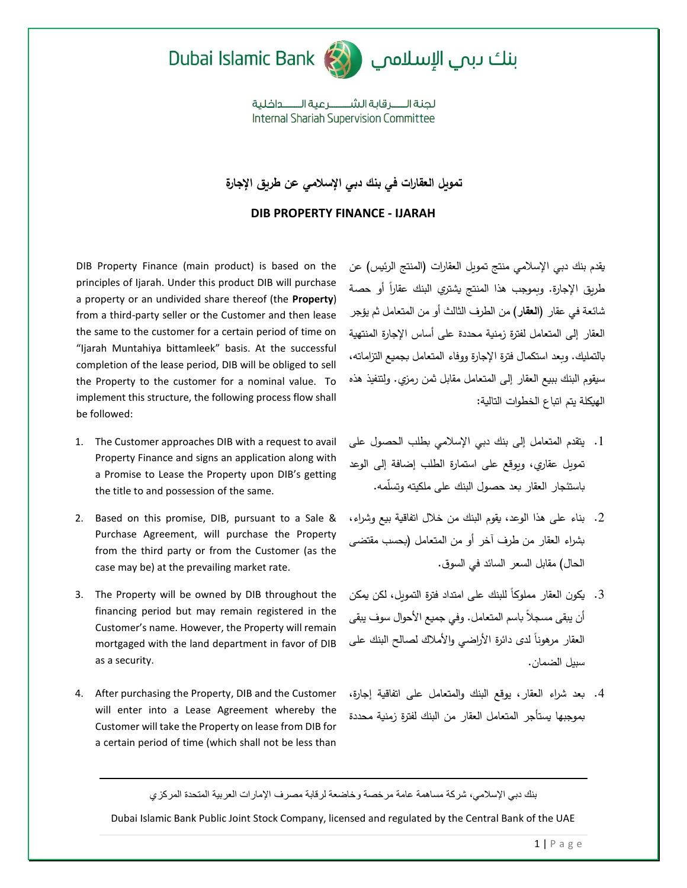



## بنك ىبىي الإسلامي ا

لحنة الـــــر قاية الشـــــــر عبة الـــــــداخلية **Internal Shariah Supervision Committee** 

**تمويل العقارات في بنك دبي اإلسالمي عن طريق اإلجارة**

**DIB PROPERTY FINANCE - IJARAH**

DIB Property Finance (main product) is based on the principles of Ijarah. Under this product DIB will purchase a property or an undivided share thereof (the **Property**) from a third-party seller or the Customer and then lease the same to the customer for a certain period of time on "Ijarah Muntahiya bittamleek" basis. At the successful completion of the lease period, DIB will be obliged to sell the Property to the customer for a nominal value. To implement this structure, the following process flow shall be followed:

- 1. The Customer approaches DIB with a request to avail Property Finance and signs an application along with a Promise to Lease the Property upon DIB's getting the title to and possession of the same.
- 2. Based on this promise, DIB, pursuant to a Sale & Purchase Agreement, will purchase the Property from the third party or from the Customer (as the case may be) at the prevailing market rate.
- 3. The Property will be owned by DIB throughout the financing period but may remain registered in the Customer's name. However, the Property will remain mortgaged with the land department in favor of DIB as a security.
- 4. After purchasing the Property, DIB and the Customer will enter into a Lease Agreement whereby the Customer will take the Property on lease from DIB for a certain period of time (which shall not be less than

يقدم بنك دبي اإلسالمي منتج تمويل العقارات )المنتج الرئيس( عن طريق الإجارة. وبموجب هذا المنتج يشتري البنك عقاراً أو حصة شائعة في عقار )**العقار**( من الطرف الثالث أو من المتعامل ثم يؤجر العقار إلى المتعامل لفترة زمنية محددة على أساس اإلجارة المنتهية بالتمليك. وبعد استكمال فترة اإلجارة ووفاء المتعامل بجميع التزاماته، سيقوم البنك ببيع العقار إلى المتعامل مقابل ثمن رمزي. ولتتفيذ هذه الهيكلة يتم اتباع الخطوات التالية:

- .1 يتقدم المتعامل إلى بنك دبي اإلسالمي بطلب الحصول على تمويل عقاري، ويوقع على استمارة الطلب إضافة إلى الوعد باستئجار العقار بعد حصول البنك على ملكيته وتسّلمه.
- .2 بناء على هذا الوعد، يقوم البنك من خالل اتفاقية بيع وشراء، بشراء العقار من طرف آخر أو من المتعامل )بحسب مقتضى الحال) مقابل السعر السائد في السوق.
- 3. يكون العقار مملوكاً للبنك على امتداد فترة التمويل، لكن يمكن أن يبقى مسجالً باسم المتعامل. وفي جميع األحوال سوف يبقى العقار مرهوناً لدى دائرة الأراضي والأملاك لصالح البنك على سبيل الضمان.
- .4 بعد شراء العقار، يوقع البنك والمتعامل على اتفاقية إجارة، بموجبها يستأجر المتعامل العقار من البنك لفترة زمنية محددة

بنك دبي اإلسالمي، شركة مساهمة عامة مرخصة وخاضعة لرقابة مصرف اإلمارات العربية المتحدة المركزي

Dubai Islamic Bank Public Joint Stock Company, licensed and regulated by the Central Bank of the UAE